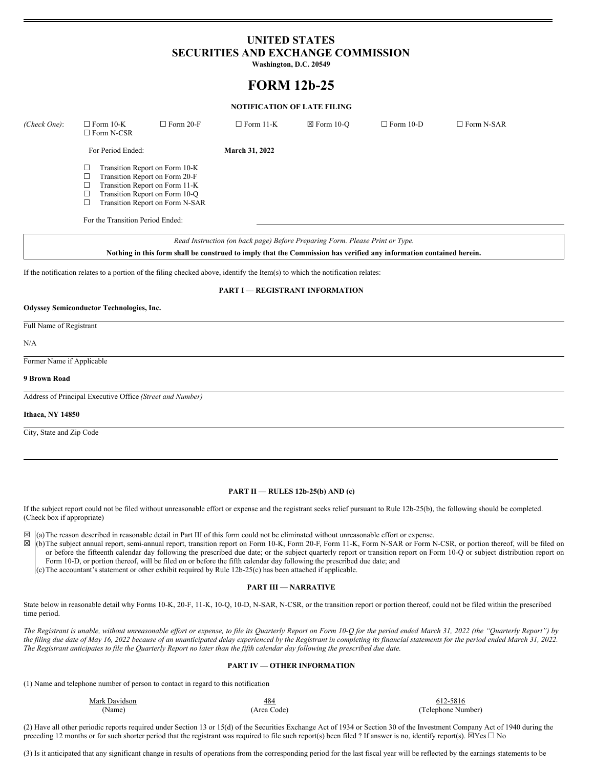## **UNITED STATES SECURITIES AND EXCHANGE COMMISSION**

**Washington, D.C. 20549**

# **FORM 12b-25**

#### **NOTIFICATION OF LATE FILING**

| (Check One): | $\Box$ Form 10-K<br>$\Box$ Form N-CSR                                                                                                                                                                                                | $\Box$ Form 20-F | $\Box$ Form 11-K      | $\boxtimes$ Form 10-O | $\Box$ Form 10-D | $\Box$ Form N-SAR |
|--------------|--------------------------------------------------------------------------------------------------------------------------------------------------------------------------------------------------------------------------------------|------------------|-----------------------|-----------------------|------------------|-------------------|
|              | For Period Ended:                                                                                                                                                                                                                    |                  | <b>March 31, 2022</b> |                       |                  |                   |
|              | Transition Report on Form 10-K<br>⊔<br>Transition Report on Form 20-F<br>⊔<br>Transition Report on Form 11-K<br>⊔<br>Transition Report on Form 10-Q<br>□<br>Transition Report on Form N-SAR<br>⊔<br>For the Transition Period Ended: |                  |                       |                       |                  |                   |

*Read Instruction (on back page) Before Preparing Form. Please Print or Type.*

Nothing in this form shall be construed to imply that the Commission has verified any information contained herein.

If the notification relates to a portion of the filing checked above, identify the Item(s) to which the notification relates:

#### **PART I — REGISTRANT INFORMATION**

#### **Odyssey Semiconductor Technologies, Inc.**

#### Full Name of Registrant

N/A

Former Name if Applicable

#### **9 Brown Road**

Address of Principal Executive Office *(Street and Number)*

#### **Ithaca, NY 14850**

City, State and Zip Code

#### **PART II — RULES 12b-25(b) AND (c)**

If the subject report could not be filed without unreasonable effort or expense and the registrant seeks relief pursuant to Rule 12b-25(b), the following should be completed. (Check box if appropriate)

 $\boxtimes$  (a) The reason described in reasonable detail in Part III of this form could not be eliminated without unreasonable effort or expense.<br> $\boxtimes$  (b) The subject annual report semi-annual report transition report on Form

☒ (b)The subject annual report, semi-annual report, transition report on Form 10-K, Form 20-F, Form 11-K, Form N-SAR or Form N-CSR, or portion thereof, will be filed on or before the fifteenth calendar day following the prescribed due date; or the subject quarterly report or transition report on Form 10-Q or subject distribution report on Form 10-D, or portion thereof, will be filed on or before the fifth calendar day following the prescribed due date; and

(c)The accountant's statement or other exhibit required by Rule 12b-25(c) has been attached if applicable.

#### **PART III — NARRATIVE**

State below in reasonable detail why Forms 10-K, 20-F, 11-K, 10-Q, 10-D, N-SAR, N-CSR, or the transition report or portion thereof, could not be filed within the prescribed time period.

The Registrant is unable, without unreasonable effort or expense, to file its Quarterly Report on Form 10-Q for the period ended March 31, 2022 (the "Quarterly Report") by the filing due date of May 16, 2022 because of an unanticipated delay experienced by the Registrant in completing its financial statements for the period ended March 31, 2022. The Registrant anticipates to file the Quarterly Report no later than the fifth calendar day following the prescribed due date.

#### **PART IV — OTHER INFORMATION**

(1) Name and telephone number of person to contact in regard to this notification

| Mark Davidson | 484        | 612-5816           |
|---------------|------------|--------------------|
| 'Name)        | Area Code) | (Telephone Number) |

(2) Have all other periodic reports required under Section 13 or 15(d) of the Securities Exchange Act of 1934 or Section 30 of the Investment Company Act of 1940 during the preceding 12 months or for such shorter period that the registrant was required to file such report(s) been filed ? If answer is no, identify report(s).  $\boxtimes$  Yes  $\Box$  No

(3) Is it anticipated that any significant change in results of operations from the corresponding period for the last fiscal year will be reflected by the earnings statements to be